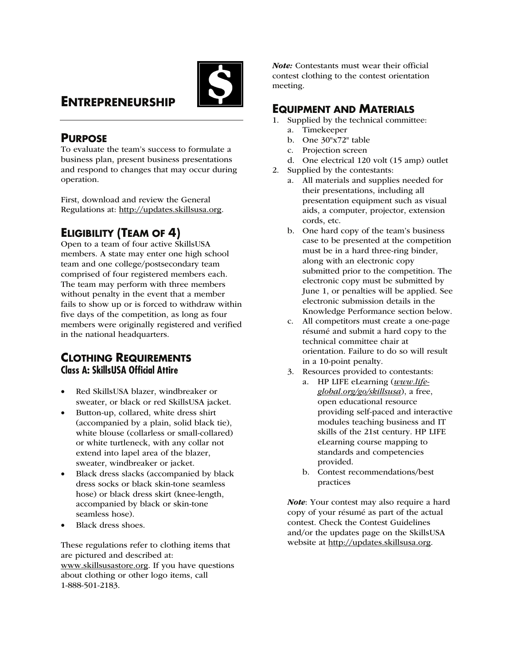

# **ENTREPRENEURSHIP**

## **PURPOSE**

To evaluate the team's success to formulate a business plan, present business presentations and respond to changes that may occur during operation.

First, download and review the General Regulations at: http://updates.skillsusa.org.

# **ELIGIBILITY (TEAM OF 4)**

Open to a team of four active SkillsUSA members. A state may enter one high school team and one college/postsecondary team comprised of four registered members each. The team may perform with three members without penalty in the event that a member fails to show up or is forced to withdraw within five days of the competition, as long as four members were originally registered and verified in the national headquarters.

## **CLOTHING REQUIREMENTS Class A: SkillsUSA Official Attire**

- Red SkillsUSA blazer, windbreaker or sweater, or black or red SkillsUSA jacket.
- Button-up, collared, white dress shirt (accompanied by a plain, solid black tie), white blouse (collarless or small-collared) or white turtleneck, with any collar not extend into lapel area of the blazer, sweater, windbreaker or jacket.
- Black dress slacks (accompanied by black dress socks or black skin-tone seamless hose) or black dress skirt (knee-length, accompanied by black or skin-tone seamless hose).
- Black dress shoes.

These regulations refer to clothing items that are pictured and described at: www.skillsusastore.org. If you have questions about clothing or other logo items, call 1-888-501-2183.

Note: Contestants must wear their official contest clothing to the contest orientation meeting.

## **EQUIPMENT AND MATERIALS**

- 1. Supplied by the technical committee:
	- a. Timekeeper
	- b. One 30"x72" table
	- c. Projection screen
	- d. One electrical 120 volt (15 amp) outlet
- 2. Supplied by the contestants:
	- a. All materials and supplies needed for their presentations, including all presentation equipment such as visual aids, a computer, projector, extension cords, etc.
	- b. One hard copy of the team's business case to be presented at the competition must be in a hard three-ring binder, along with an electronic copy submitted prior to the competition. The electronic copy must be submitted by June 1, or penalties will be applied. See electronic submission details in the Knowledge Performance section below.
	- c. All competitors must create a one-page résumé and submit a hard copy to the technical committee chair at orientation. Failure to do so will result in a 10-point penalty.
	- 3. Resources provided to contestants:
		- a. HP LIFE eLearning (*www.lifeglobal.org/go/skillsusa*), a free, open educational resource providing self-paced and interactive modules teaching business and IT skills of the 21st century. HP LIFE eLearning course mapping to standards and competencies provided.
		- b. Contest recommendations/best practices

Note: Your contest may also require a hard copy of your résumé as part of the actual contest. Check the Contest Guidelines and/or the updates page on the SkillsUSA website at http://updates.skillsusa.org.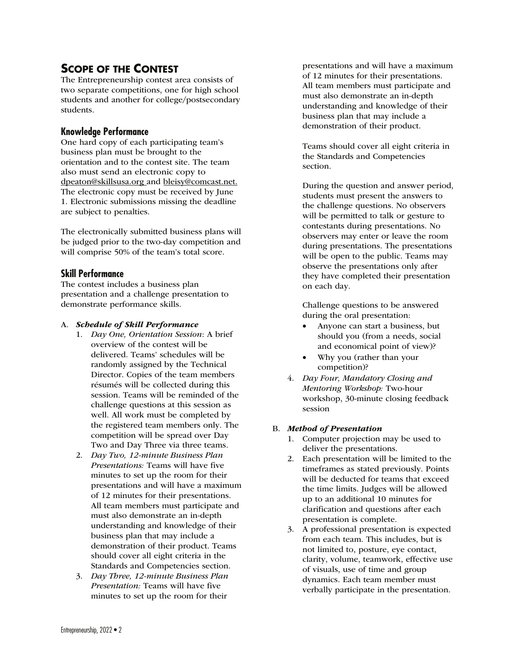## **SCOPE OF THE CONTEST**

The Entrepreneurship contest area consists of two separate competitions, one for high school students and another for college/postsecondary students.

## **Knowledge Performance**

One hard copy of each participating team's business plan must be brought to the orientation and to the contest site. The team also must send an electronic copy to dpeaton@skillsusa.org and bleisy@comcast.net. The electronic copy must be received by June 1. Electronic submissions missing the deadline are subject to penalties.

The electronically submitted business plans will be judged prior to the two-day competition and will comprise 50% of the team's total score.

## **Skill Performance**

The contest includes a business plan presentation and a challenge presentation to demonstrate performance skills.

#### A. Schedule of Skill Performance

- 1. *Day One, Orientation Session*: A brief overview of the contest will be delivered. Teams' schedules will be randomly assigned by the Technical Director. Copies of the team members résumés will be collected during this session. Teams will be reminded of the challenge questions at this session as well. All work must be completed by the registered team members only. The competition will be spread over Day Two and Day Three via three teams.
- 2. *Day Two, 12-minute Business Plan Presentations:* Teams will have five minutes to set up the room for their presentations and will have a maximum of 12 minutes for their presentations. All team members must participate and must also demonstrate an in-depth understanding and knowledge of their business plan that may include a demonstration of their product. Teams should cover all eight criteria in the Standards and Competencies section.
- 3. *Day Three, 12-minute Business Plan Presentation:* Teams will have five minutes to set up the room for their

presentations and will have a maximum of 12 minutes for their presentations. All team members must participate and must also demonstrate an in-depth understanding and knowledge of their business plan that may include a demonstration of their product.

Teams should cover all eight criteria in the Standards and Competencies section.

During the question and answer period, students must present the answers to the challenge questions. No observers will be permitted to talk or gesture to contestants during presentations. No observers may enter or leave the room during presentations. The presentations will be open to the public. Teams may observe the presentations only after they have completed their presentation on each day.

 Challenge questions to be answered during the oral presentation:

- Anyone can start a business, but should you (from a needs, social and economical point of view)?
- Why you (rather than your competition)?
- 4. *Day Four, Mandatory Closing and Mentoring Workshop:* Two-hour workshop, 30-minute closing feedback session

#### B. Method of Presentation

- 1. Computer projection may be used to deliver the presentations.
- 2. Each presentation will be limited to the timeframes as stated previously. Points will be deducted for teams that exceed the time limits. Judges will be allowed up to an additional 10 minutes for clarification and questions after each presentation is complete.
- 3. A professional presentation is expected from each team. This includes, but is not limited to, posture, eye contact, clarity, volume, teamwork, effective use of visuals, use of time and group dynamics. Each team member must verbally participate in the presentation.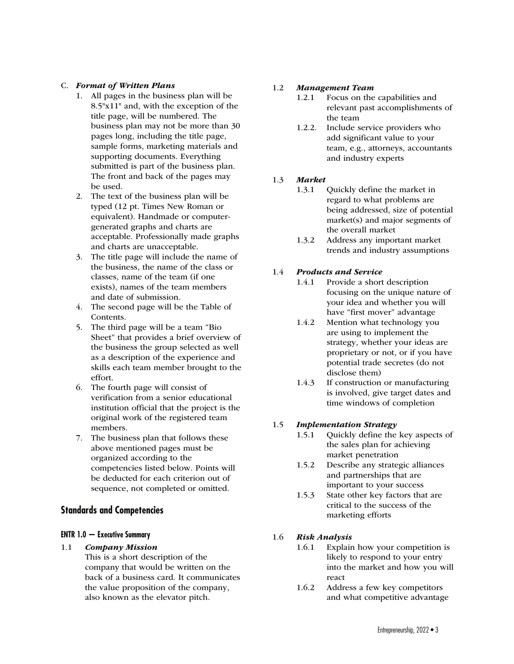## C. Format of Written Plans

- 1. All pages in the business plan will be 8.5"x11" and, with the exception of the title page, will be numbered. The business plan may not be more than 30 pages long, including the title page, sample forms, marketing materials and supporting documents. Everything submitted is part of the business plan. The front and back of the pages may be used.
- 2. The text of the business plan will be typed (12 pt. Times New Roman or equivalent). Handmade or computergenerated graphs and charts are acceptable. Professionally made graphs and charts are unacceptable.
- 3. The title page will include the name of the business, the name of the class or classes, name of the team (if one exists), names of the team members and date of submission.
- 4. The second page will be the Table of Contents.
- 5. The third page will be a team "Bio Sheet" that provides a brief overview of the business the group selected as well as a description of the experience and skills each team member brought to the effort.
- 6. The fourth page will consist of verification from a senior educational institution official that the project is the original work of the registered team members.
- 7. The business plan that follows these above mentioned pages must be organized according to the competencies listed below. Points will be deducted for each criterion out of sequence, not completed or omitted.

## **Standards and Competencies**

## **ENTR 1.0 — Executive Summary**

- 1.1 Company Mission This is a short description of the
	- company that would be written on the back of a business card. It communicates the value proposition of the company, also known as the elevator pitch.

## 1.2 Management Team

- 1.2.1 Focus on the capabilities and relevant past accomplishments of the team
- 1.2.2. Include service providers who add significant value to your team, e.g., attorneys, accountants and industry experts

## 1.3 Market

- 1.3.1 Quickly define the market in regard to what problems are being addressed, size of potential market(s) and major segments of the overall market
- 1.3.2 Address any important market trends and industry assumptions

## 1.4 Products and Service

- 1.4.1 Provide a short description focusing on the unique nature of your idea and whether you will have "first mover" advantage
- 1.4.2 Mention what technology you are using to implement the strategy, whether your ideas are proprietary or not, or if you have potential trade secretes (do not disclose them)
- 1.4.3 If construction or manufacturing is involved, give target dates and time windows of completion

## 1.5 Implementation Strategy

- 1.5.1 Quickly define the key aspects of the sales plan for achieving market penetration
- 1.5.2 Describe any strategic alliances and partnerships that are important to your success
- 1.5.3 State other key factors that are critical to the success of the marketing efforts

## 1.6 Risk Analysis

- 1.6.1 Explain how your competition is likely to respond to your entry into the market and how you will react
- 1.6.2 Address a few key competitors and what competitive advantage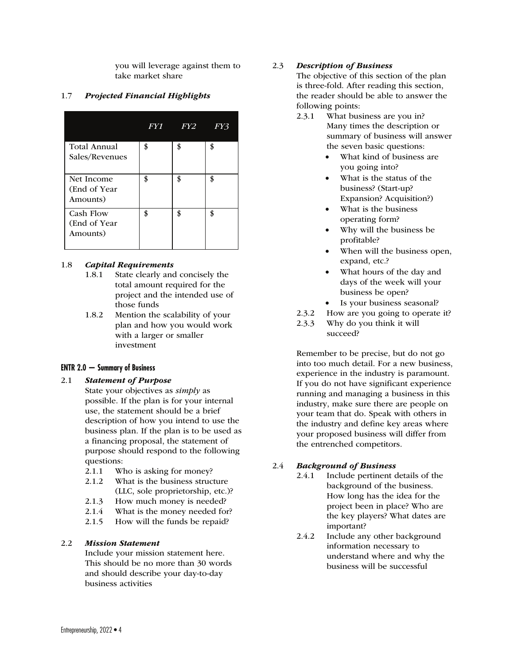you will leverage against them to take market share

## 1.7 Projected Financial Highlights

|                | FY1 <sup>k</sup> | FY2 | FY3 |
|----------------|------------------|-----|-----|
| Total Annual   | \$               |     |     |
| Sales/Revenues |                  |     |     |
| Net Income     | \$               | \$  | \$  |
| (End of Year   |                  |     |     |
| Amounts)       |                  |     |     |
| Cash Flow      | \$               | \$  | \$  |
| (End of Year   |                  |     |     |
| Amounts)       |                  |     |     |
|                |                  |     |     |

## 1.8 Capital Requirements

- 1.8.1 State clearly and concisely the total amount required for the project and the intended use of those funds
- 1.8.2 Mention the scalability of your plan and how you would work with a larger or smaller investment

## **ENTR 2.0 — Summary of Business**

#### 2.1 Statement of Purpose

- State your objectives as *simply* as possible. If the plan is for your internal use, the statement should be a brief description of how you intend to use the business plan. If the plan is to be used as a financing proposal, the statement of purpose should respond to the following questions:
	- 2.1.1 Who is asking for money?
	- 2.1.2 What is the business structure (LLC, sole proprietorship, etc.)?
	- 2.1.3 How much money is needed?
	- 2.1.4 What is the money needed for?
	- 2.1.5 How will the funds be repaid?

#### 2.2 Mission Statement

Include your mission statement here. This should be no more than 30 words and should describe your day-to-day business activities

## 2.3 Description of Business

 The objective of this section of the plan is three-fold. After reading this section, the reader should be able to answer the following points:

- 2.3.1 What business are you in? Many times the description or summary of business will answer the seven basic questions:
	- What kind of business are you going into?
	- What is the status of the business? (Start-up? Expansion? Acquisition?)
	- What is the business operating form?
	- Why will the business be profitable?
	- When will the business open, expand, etc.?
	- What hours of the day and days of the week will your business be open?
	- Is your business seasonal?
- 2.3.2 How are you going to operate it?
- 2.3.3 Why do you think it will succeed?

 Remember to be precise, but do not go into too much detail. For a new business, experience in the industry is paramount. If you do not have significant experience running and managing a business in this industry, make sure there are people on your team that do. Speak with others in the industry and define key areas where your proposed business will differ from the entrenched competitors.

## 2.4 Background of Business

- 2.4.1 Include pertinent details of the background of the business. How long has the idea for the project been in place? Who are the key players? What dates are important?
- 2.4.2 Include any other background information necessary to understand where and why the business will be successful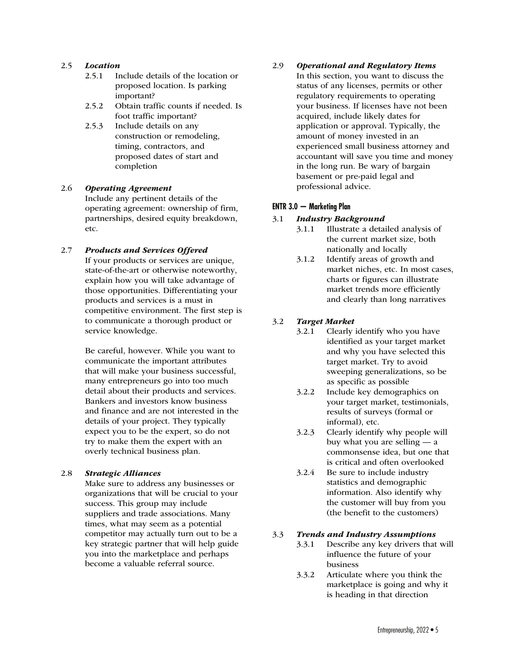#### 2.5 Location

- 2.5.1 Include details of the location or proposed location. Is parking important?
- 2.5.2 Obtain traffic counts if needed. Is foot traffic important?
- 2.5.3 Include details on any construction or remodeling, timing, contractors, and proposed dates of start and completion

## 2.6 Operating Agreement Include any pertinent details of the operating agreement: ownership of firm, partnerships, desired equity breakdown, etc.

#### 2.7 Products and Services Offered

 If your products or services are unique, state-of-the-art or otherwise noteworthy, explain how you will take advantage of those opportunities. Differentiating your products and services is a must in competitive environment. The first step is to communicate a thorough product or service knowledge.

Be careful, however. While you want to communicate the important attributes that will make your business successful, many entrepreneurs go into too much detail about their products and services. Bankers and investors know business and finance and are not interested in the details of your project. They typically expect you to be the expert, so do not try to make them the expert with an overly technical business plan.

#### 2.8 Strategic Alliances

 Make sure to address any businesses or organizations that will be crucial to your success. This group may include suppliers and trade associations. Many times, what may seem as a potential competitor may actually turn out to be a key strategic partner that will help guide you into the marketplace and perhaps become a valuable referral source.

#### 2.9 Operational and Regulatory Items

 In this section, you want to discuss the status of any licenses, permits or other regulatory requirements to operating your business. If licenses have not been acquired, include likely dates for application or approval. Typically, the amount of money invested in an experienced small business attorney and accountant will save you time and money in the long run. Be wary of bargain basement or pre-paid legal and professional advice.

## **ENTR 3.0 — Marketing Plan**

## 3.1 Industry Background

- 3.1.1 Illustrate a detailed analysis of the current market size, both nationally and locally
- 3.1.2 Identify areas of growth and market niches, etc. In most cases, charts or figures can illustrate market trends more efficiently and clearly than long narratives

## 3.2 Target Market

- 3.2.1 Clearly identify who you have identified as your target market and why you have selected this target market. Try to avoid sweeping generalizations, so be as specific as possible
- 3.2.2 Include key demographics on your target market, testimonials, results of surveys (formal or informal), etc.
- 3.2.3 Clearly identify why people will buy what you are selling — a commonsense idea, but one that is critical and often overlooked
- 3.2.4 Be sure to include industry statistics and demographic information. Also identify why the customer will buy from you (the benefit to the customers)

#### 3.3 Trends and Industry Assumptions

- 3.3.1 Describe any key drivers that will influence the future of your business
	- 3.3.2 Articulate where you think the marketplace is going and why it is heading in that direction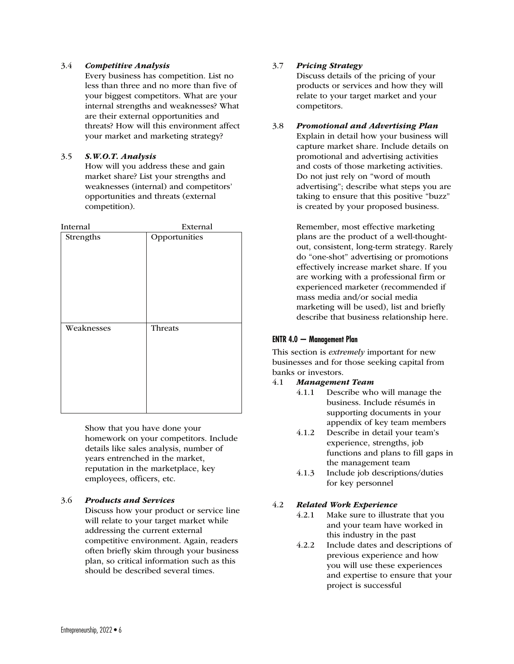#### 3.4 Competitive Analysis

 Every business has competition. List no less than three and no more than five of your biggest competitors. What are your internal strengths and weaknesses? What are their external opportunities and threats? How will this environment affect your market and marketing strategy?

## 3.5 S.W.O.T. Analysis

 How will you address these and gain market share? List your strengths and weaknesses (internal) and competitors' opportunities and threats (external competition).

| Internal   | External      |
|------------|---------------|
| Strengths  | Opportunities |
| Weaknesses | Threats       |

 Show that you have done your homework on your competitors. Include details like sales analysis, number of years entrenched in the market, reputation in the marketplace, key employees, officers, etc.

## 3.6 Products and Services

 Discuss how your product or service line will relate to your target market while addressing the current external competitive environment. Again, readers often briefly skim through your business plan, so critical information such as this should be described several times.

## 3.7 Pricing Strategy

 Discuss details of the pricing of your products or services and how they will relate to your target market and your competitors.

## 3.8 Promotional and Advertising Plan

 Explain in detail how your business will capture market share. Include details on promotional and advertising activities and costs of those marketing activities. Do not just rely on "word of mouth advertising"; describe what steps you are taking to ensure that this positive "buzz" is created by your proposed business.

Remember, most effective marketing plans are the product of a well-thoughtout, consistent, long-term strategy. Rarely do "one-shot" advertising or promotions effectively increase market share. If you are working with a professional firm or experienced marketer (recommended if mass media and/or social media marketing will be used), list and briefly describe that business relationship here.

## **ENTR 4.0 — Management Plan**

This section is *extremely* important for new businesses and for those seeking capital from banks or investors.

#### 4.1 Management Team

- 4.1.1 Describe who will manage the business. Include résumés in supporting documents in your appendix of key team members
- 4.1.2 Describe in detail your team's experience, strengths, job functions and plans to fill gaps in the management team
- 4.1.3 Include job descriptions/duties for key personnel

## 4.2 Related Work Experience

- 4.2.1 Make sure to illustrate that you and your team have worked in this industry in the past
- 4.2.2 Include dates and descriptions of previous experience and how you will use these experiences and expertise to ensure that your project is successful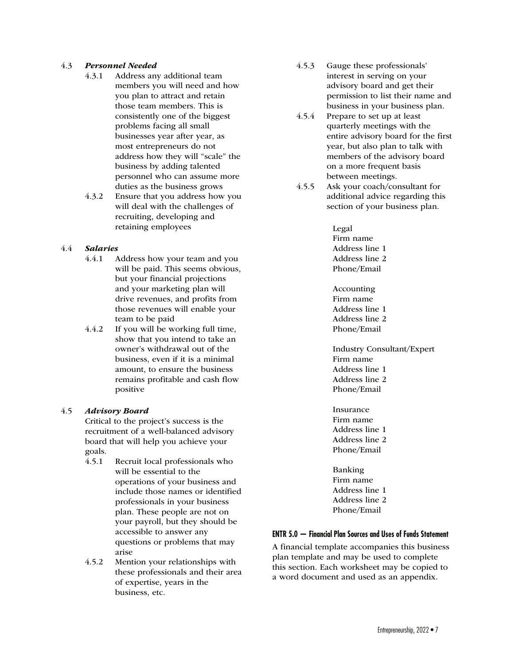## 4.3 Personnel Needed

- 4.3.1 Address any additional team members you will need and how you plan to attract and retain those team members. This is consistently one of the biggest problems facing all small businesses year after year, as most entrepreneurs do not address how they will "scale" the business by adding talented personnel who can assume more duties as the business grows
- 4.3.2 Ensure that you address how you will deal with the challenges of recruiting, developing and retaining employees

## 4.4 Salaries

- 4.4.1 Address how your team and you will be paid. This seems obvious, but your financial projections and your marketing plan will drive revenues, and profits from those revenues will enable your team to be paid
- 4.4.2 If you will be working full time, show that you intend to take an owner's withdrawal out of the business, even if it is a minimal amount, to ensure the business remains profitable and cash flow positive

#### 4.5 Advisory Board

 Critical to the project's success is the recruitment of a well-balanced advisory board that will help you achieve your goals.

- 4.5.1 Recruit local professionals who will be essential to the operations of your business and include those names or identified professionals in your business plan. These people are not on your payroll, but they should be accessible to answer any questions or problems that may arise
- 4.5.2 Mention your relationships with these professionals and their area of expertise, years in the business, etc.
- 4.5.3 Gauge these professionals' interest in serving on your advisory board and get their permission to list their name and business in your business plan.
- 4.5.4 Prepare to set up at least quarterly meetings with the entire advisory board for the first year, but also plan to talk with members of the advisory board on a more frequent basis between meetings.
- 4.5.5 Ask your coach/consultant for additional advice regarding this section of your business plan.

 Legal Firm name Address line 1 Address line 2 Phone/Email

 Accounting Firm name Address line 1 Address line 2 Phone/Email

 Industry Consultant/Expert Firm name Address line 1 Address line 2 Phone/Email

 Insurance Firm name Address line 1 Address line 2 Phone/Email

 Banking Firm name Address line 1 Address line 2 Phone/Email

## **ENTR 5.0 — Financial Plan Sources and Uses of Funds Statement**

A financial template accompanies this business plan template and may be used to complete this section. Each worksheet may be copied to a word document and used as an appendix.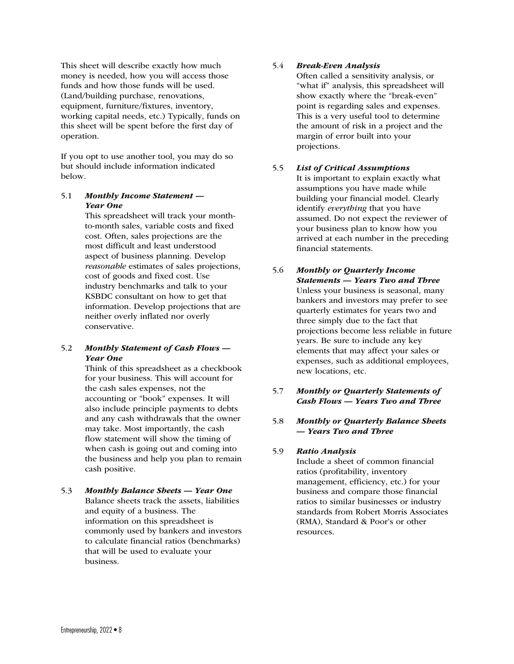This sheet will describe exactly how much money is needed, how you will access those funds and how those funds will be used. (Land/building purchase, renovations, equipment, furniture/fixtures, inventory, working capital needs, etc.) Typically, funds on this sheet will be spent before the first day of operation.

If you opt to use another tool, you may do so but should include information indicated below.

## 5.1 Monthly Income Statement — Year One

 This spreadsheet will track your monthto-month sales, variable costs and fixed cost. Often, sales projections are the most difficult and least understood aspect of business planning. Develop *reasonable* estimates of sales projections, cost of goods and fixed cost. Use industry benchmarks and talk to your KSBDC consultant on how to get that information. Develop projections that are neither overly inflated nor overly conservative.

## 5.2 Monthly Statement of Cash Flows — Year One

 Think of this spreadsheet as a checkbook for your business. This will account for the cash sales expenses, not the accounting or "book" expenses. It will also include principle payments to debts and any cash withdrawals that the owner may take. Most importantly, the cash flow statement will show the timing of when cash is going out and coming into the business and help you plan to remain cash positive.

#### 5.3 Monthly Balance Sheets — Year One Balance sheets track the assets, liabilities and equity of a business. The information on this spreadsheet is commonly used by bankers and investors to calculate financial ratios (benchmarks) that will be used to evaluate your business.

## 5.4 Break-Even Analysis

 Often called a sensitivity analysis, or "what if" analysis, this spreadsheet will show exactly where the "break-even" point is regarding sales and expenses. This is a very useful tool to determine the amount of risk in a project and the margin of error built into your projections.

## 5.5 List of Critical Assumptions

 It is important to explain exactly what assumptions you have made while building your financial model. Clearly identify *everything* that you have assumed. Do not expect the reviewer of your business plan to know how you arrived at each number in the preceding financial statements.

## 5.6 Monthly or Quarterly Income Statements — Years Two and Three Unless your business is seasonal, many bankers and investors may prefer to see quarterly estimates for years two and three simply due to the fact that projections become less reliable in future years. Be sure to include any key elements that may affect your sales or expenses, such as additional employees, new locations, etc.

## 5.7 Monthly or Quarterly Statements of Cash Flows — Years Two and Three

## 5.8 Monthly or Quarterly Balance Sheets — Years Two and Three

## 5.9 Ratio Analysis

 Include a sheet of common financial ratios (profitability, inventory management, efficiency, etc.) for your business and compare those financial ratios to similar businesses or industry standards from Robert Morris Associates (RMA), Standard & Poor's or other resources.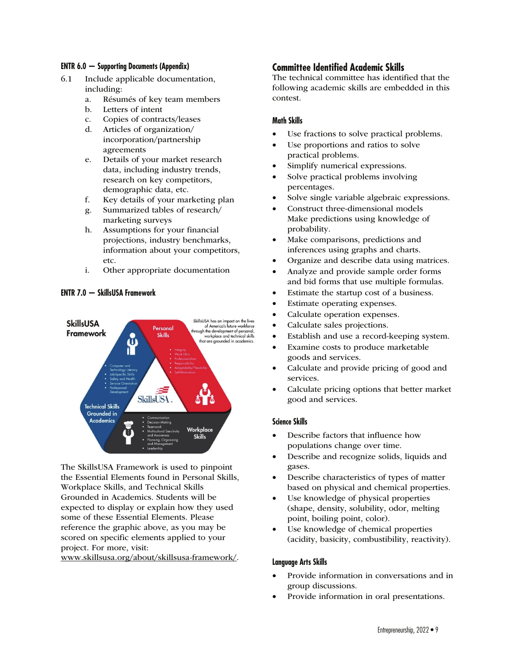#### **ENTR 6.0 — Supporting Documents (Appendix)**

- 6.1 Include applicable documentation, including:
	- a. Résumés of key team members
	- b. Letters of intent
	- c. Copies of contracts/leases
	- d. Articles of organization/ incorporation/partnership agreements
	- e. Details of your market research data, including industry trends, research on key competitors, demographic data, etc.
	- f. Key details of your marketing plan
	- g. Summarized tables of research/ marketing surveys
	- h. Assumptions for your financial projections, industry benchmarks, information about your competitors, etc.
	- i. Other appropriate documentation

## **ENTR 7.0 — SkillsUSA Framework**



The SkillsUSA Framework is used to pinpoint the Essential Elements found in Personal Skills, Workplace Skills, and Technical Skills Grounded in Academics. Students will be expected to display or explain how they used some of these Essential Elements. Please reference the graphic above, as you may be scored on specific elements applied to your project. For more, visit:

www.skillsusa.org/about/skillsusa-framework/.

## **Committee Identified Academic Skills**

The technical committee has identified that the following academic skills are embedded in this contest.

#### **Math Skills**

- Use fractions to solve practical problems.
- Use proportions and ratios to solve practical problems.
- Simplify numerical expressions.
- Solve practical problems involving percentages.
- Solve single variable algebraic expressions.
- Construct three-dimensional models Make predictions using knowledge of probability.
- Make comparisons, predictions and inferences using graphs and charts.
- Organize and describe data using matrices.
- Analyze and provide sample order forms and bid forms that use multiple formulas.
- Estimate the startup cost of a business.
- Estimate operating expenses.
- Calculate operation expenses.
- Calculate sales projections.
- Establish and use a record-keeping system.
- Examine costs to produce marketable goods and services.
- Calculate and provide pricing of good and services.
- Calculate pricing options that better market good and services.

#### **Science Skills**

- Describe factors that influence how populations change over time.
- Describe and recognize solids, liquids and gases.
- Describe characteristics of types of matter based on physical and chemical properties.
- Use knowledge of physical properties (shape, density, solubility, odor, melting point, boiling point, color).
- Use knowledge of chemical properties (acidity, basicity, combustibility, reactivity).

#### **Language Arts Skills**

- Provide information in conversations and in group discussions.
- Provide information in oral presentations.